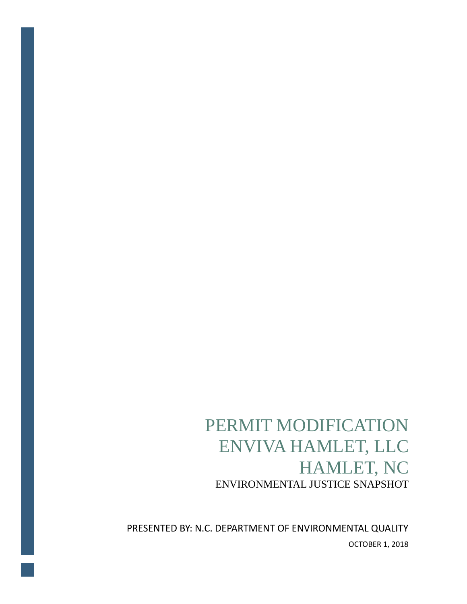# PERMIT MODIFICATION ENVIVA HAMLET, LLC HAMLET, NC<br>ENVIRONMENTAL JUSTICE SNAPSHOT

PRESENTED BY: N.C. DEPARTMENT OF ENVIRONMENTAL QUALITY OCTOBER 1, 2018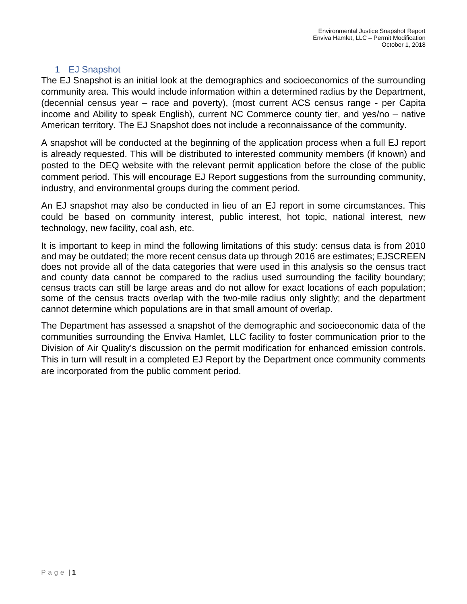## 1 EJ Snapshot

The EJ Snapshot is an initial look at the demographics and socioeconomics of the surrounding community area. This would include information within a determined radius by the Department, (decennial census year – race and poverty), (most current ACS census range - per Capita income and Ability to speak English), current NC Commerce county tier, and yes/no – native American territory. The EJ Snapshot does not include a reconnaissance of the community.

A snapshot will be conducted at the beginning of the application process when a full EJ report is already requested. This will be distributed to interested community members (if known) and posted to the DEQ website with the relevant permit application before the close of the public comment period. This will encourage EJ Report suggestions from the surrounding community, industry, and environmental groups during the comment period.

An EJ snapshot may also be conducted in lieu of an EJ report in some circumstances. This could be based on community interest, public interest, hot topic, national interest, new technology, new facility, coal ash, etc.

It is important to keep in mind the following limitations of this study: census data is from 2010 and may be outdated; the more recent census data up through 2016 are estimates; EJSCREEN does not provide all of the data categories that were used in this analysis so the census tract and county data cannot be compared to the radius used surrounding the facility boundary; census tracts can still be large areas and do not allow for exact locations of each population; some of the census tracts overlap with the two-mile radius only slightly; and the department cannot determine which populations are in that small amount of overlap.

The Department has assessed a snapshot of the demographic and socioeconomic data of the communities surrounding the Enviva Hamlet, LLC facility to foster communication prior to the Division of Air Quality's discussion on the permit modification for enhanced emission controls. This in turn will result in a completed EJ Report by the Department once community comments are incorporated from the public comment period.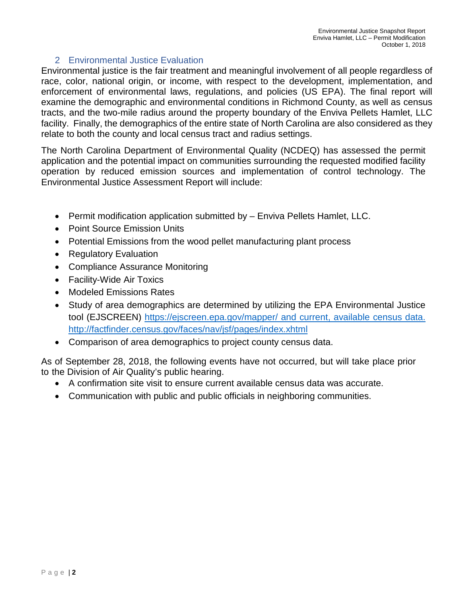#### 2 Environmental Justice Evaluation

Environmental justice is the fair treatment and meaningful involvement of all people regardless of race, color, national origin, or income, with respect to the development, implementation, and enforcement of environmental laws, regulations, and policies (US EPA). The final report will examine the demographic and environmental conditions in Richmond County, as well as census tracts, and the two-mile radius around the property boundary of the Enviva Pellets Hamlet, LLC facility. Finally, the demographics of the entire state of North Carolina are also considered as they relate to both the county and local census tract and radius settings.

The North Carolina Department of Environmental Quality (NCDEQ) has assessed the permit application and the potential impact on communities surrounding the requested modified facility operation by reduced emission sources and implementation of control technology. The Environmental Justice Assessment Report will include:

- Permit modification application submitted by Enviva Pellets Hamlet, LLC.
- Point Source Emission Units
- Potential Emissions from the wood pellet manufacturing plant process
- Regulatory Evaluation
- Compliance Assurance Monitoring
- Facility-Wide Air Toxics
- Modeled Emissions Rates
- Study of area demographics are determined by utilizing the EPA Environmental Justice tool (EJSCREEN)<https://ejscreen.epa.gov/mapper/> and current, available census data. <http://factfinder.census.gov/faces/nav/jsf/pages/index.xhtml>
- Comparison of area demographics to project county census data.

As of September 28, 2018, the following events have not occurred, but will take place prior to the Division of Air Quality's public hearing.

- A confirmation site visit to ensure current available census data was accurate.
- Communication with public and public officials in neighboring communities.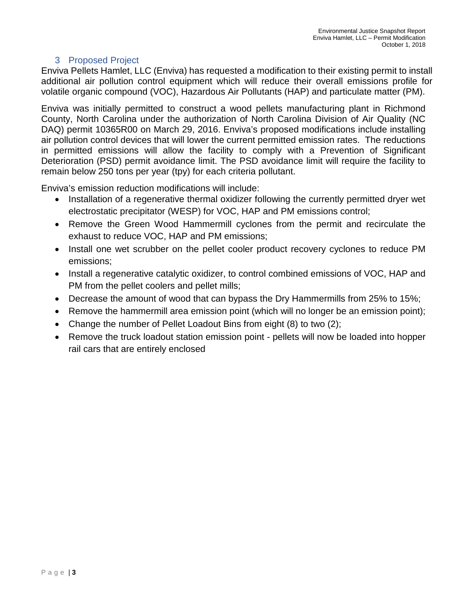## 3 Proposed Project

Enviva Pellets Hamlet, LLC (Enviva) has requested a modification to their existing permit to install additional air pollution control equipment which will reduce their overall emissions profile for volatile organic compound (VOC), Hazardous Air Pollutants (HAP) and particulate matter (PM).

Enviva was initially permitted to construct a wood pellets manufacturing plant in Richmond County, North Carolina under the authorization of North Carolina Division of Air Quality (NC DAQ) permit 10365R00 on March 29, 2016. Enviva's proposed modifications include installing air pollution control devices that will lower the current permitted emission rates. The reductions in permitted emissions will allow the facility to comply with a Prevention of Significant Deterioration (PSD) permit avoidance limit. The PSD avoidance limit will require the facility to remain below 250 tons per year (tpy) for each criteria pollutant.

Enviva's emission reduction modifications will include:

- Installation of a regenerative thermal oxidizer following the currently permitted dryer wet electrostatic precipitator (WESP) for VOC, HAP and PM emissions control;
- Remove the Green Wood Hammermill cyclones from the permit and recirculate the exhaust to reduce VOC, HAP and PM emissions;
- Install one wet scrubber on the pellet cooler product recovery cyclones to reduce PM emissions;
- Install a regenerative catalytic oxidizer, to control combined emissions of VOC, HAP and PM from the pellet coolers and pellet mills;
- Decrease the amount of wood that can bypass the Dry Hammermills from 25% to 15%;
- Remove the hammermill area emission point (which will no longer be an emission point);
- Change the number of Pellet Loadout Bins from eight (8) to two (2);
- Remove the truck loadout station emission point pellets will now be loaded into hopper rail cars that are entirely enclosed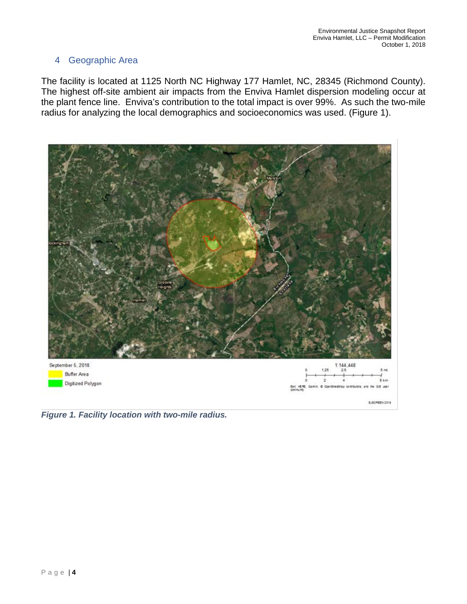## 4 Geographic Area

The facility is located at 1125 North NC Highway 177 Hamlet, NC, 28345 (Richmond County). The highest off-site ambient air impacts from the Enviva Hamlet dispersion modeling occur at the plant fence line. Enviva's contribution to the total impact is over 99%. As such the two-mile radius for analyzing the local demographics and socioeconomics was used. (Figure 1).



*Figure 1. Facility location with two-mile radius.*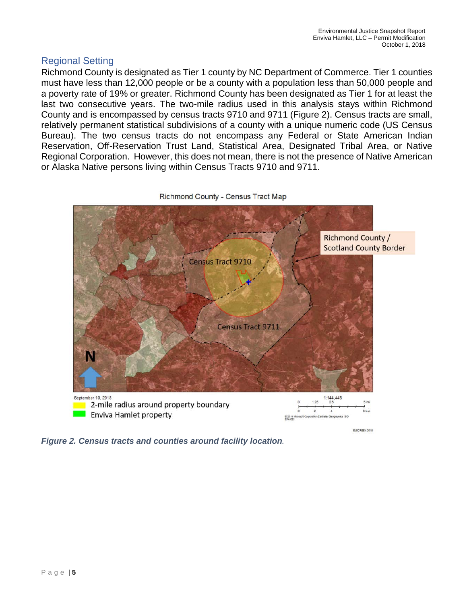## Regional Setting

Richmond County is designated as Tier 1 county by NC Department of Commerce. Tier 1 counties must have less than 12,000 people or be a county with a population less than 50,000 people and a poverty rate of 19% or greater. Richmond County has been designated as Tier 1 for at least the last two consecutive years. The two-mile radius used in this analysis stays within Richmond County and is encompassed by census tracts 9710 and 9711 (Figure 2). Census tracts are small, relatively permanent statistical subdivisions of a county with a unique numeric code (US Census Bureau). The two census tracts do not encompass any Federal or State American Indian Reservation, Off-Reservation Trust Land, Statistical Area, Designated Tribal Area, or Native Regional Corporation. However, this does not mean, there is not the presence of Native American or Alaska Native persons living within Census Tracts 9710 and 9711.



*Figure 2. Census tracts and counties around facility location.*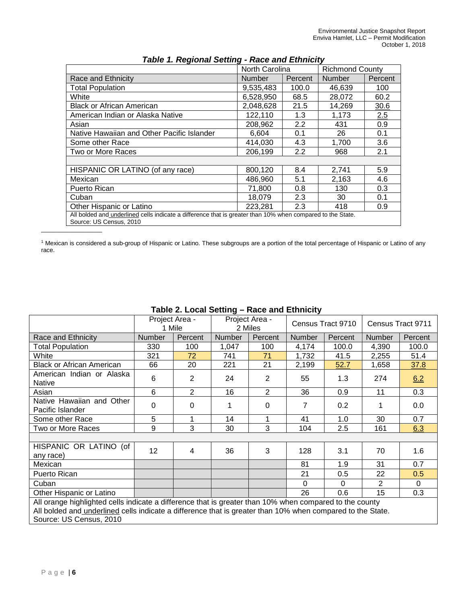|                                            | North Carolina |         | <b>Richmond County</b> |         |  |
|--------------------------------------------|----------------|---------|------------------------|---------|--|
| Race and Ethnicity                         | <b>Number</b>  | Percent | <b>Number</b>          | Percent |  |
| <b>Total Population</b>                    | 9,535,483      | 100.0   | 46,639                 | 100     |  |
| White                                      | 6,528,950      | 68.5    | 28,072                 | 60.2    |  |
| <b>Black or African American</b>           | 2,048,628      | 21.5    | 14,269                 | 30.6    |  |
| American Indian or Alaska Native           | 122,110        | 1.3     | 1,173                  | 2.5     |  |
| Asian                                      | 208,962        | 2.2     | 431                    | 0.9     |  |
| Native Hawaiian and Other Pacific Islander | 6,604          | 0.1     | 26                     | 0.1     |  |
| Some other Race                            | 414,030        | 4.3     | 1,700                  | 3.6     |  |
| Two or More Races                          | 206,199        | 2.2     | 968                    | 2.1     |  |
| HISPANIC OR LATINO (of any race)           | 800,120        | 8.4     | 2,741                  | 5.9     |  |
| Mexican                                    | 486.960        | 5.1     | 2,163                  | 4.6     |  |
| Puerto Rican                               | 71,800         | 0.8     | 130                    | 0.3     |  |
| Cuban                                      | 18,079         | 2.3     | 30                     | 0.1     |  |
| Other Hispanic or Latino                   | 223,281        | 2.3     | 418                    | 0.9     |  |

#### *Table 1. Regional Setting - Race and Ethnicity*

<sup>1</sup> Mexican is considered a sub-group of Hispanic or Latino. These subgroups are a portion of the total percentage of Hispanic or Latino of any race.

|                                                                                                                                                                                                                       | Project Area -<br>1 Mile |                |               | Project Area -<br>2 Miles | Census Tract 9710 |          | Census Tract 9711 |          |  |
|-----------------------------------------------------------------------------------------------------------------------------------------------------------------------------------------------------------------------|--------------------------|----------------|---------------|---------------------------|-------------------|----------|-------------------|----------|--|
| Race and Ethnicity                                                                                                                                                                                                    | <b>Number</b>            | Percent        | <b>Number</b> | Percent                   | <b>Number</b>     | Percent  | Number            | Percent  |  |
| <b>Total Population</b>                                                                                                                                                                                               | 330                      | 100            | 1,047         | 100                       | 4,174             | 100.0    | 4,390             | 100.0    |  |
| White                                                                                                                                                                                                                 | 321                      | 72             | 741           | 71                        | 1,732             | 41.5     | 2,255             | 51.4     |  |
| <b>Black or African American</b>                                                                                                                                                                                      | 66                       | 20             | 221           | 21                        | 2,199             | 52.7     | 1,658             | 37.8     |  |
| American Indian or Alaska<br><b>Native</b>                                                                                                                                                                            | 6                        | 2              | 24            | 2                         | 55                | 1.3      | 274               | 6.2      |  |
| Asian                                                                                                                                                                                                                 | 6                        | $\overline{2}$ | 16            | $\overline{2}$            | 36                | 0.9      | 11                | 0.3      |  |
| Native Hawaiian and Other<br>Pacific Islander                                                                                                                                                                         | 0                        | $\Omega$       | 1             | $\Omega$                  | 7                 | 0.2      | 1                 | 0.0      |  |
| Some other Race                                                                                                                                                                                                       | 5                        | 1              | 14            | 1                         | 41                | 1.0      | 30                | 0.7      |  |
| Two or More Races                                                                                                                                                                                                     | 9                        | 3              | 30            | 3                         | 104               | 2.5      | 161               | 6.3      |  |
|                                                                                                                                                                                                                       |                          |                |               |                           |                   |          |                   |          |  |
| HISPANIC OR LATINO (of<br>any race)                                                                                                                                                                                   | 12                       | 4              | 36            | 3                         | 128               | 3.1      | 70                | 1.6      |  |
| Mexican                                                                                                                                                                                                               |                          |                |               |                           | 81                | 1.9      | 31                | 0.7      |  |
| Puerto Rican                                                                                                                                                                                                          |                          |                |               |                           | 21                | 0.5      | 22                | 0.5      |  |
| Cuban                                                                                                                                                                                                                 |                          |                |               |                           | 0                 | $\Omega$ | 2                 | $\Omega$ |  |
| Other Hispanic or Latino                                                                                                                                                                                              |                          |                |               |                           | 26                | 0.6      | 15                | 0.3      |  |
| All orange highlighted cells indicate a difference that is greater than 10% when compared to the county<br>All bolded and underlined cells indicate a difference that is greater than 10% when compared to the State. |                          |                |               |                           |                   |          |                   |          |  |

## **Table 2. Local Setting – Race and Ethnicity**

Source: US Census, 2010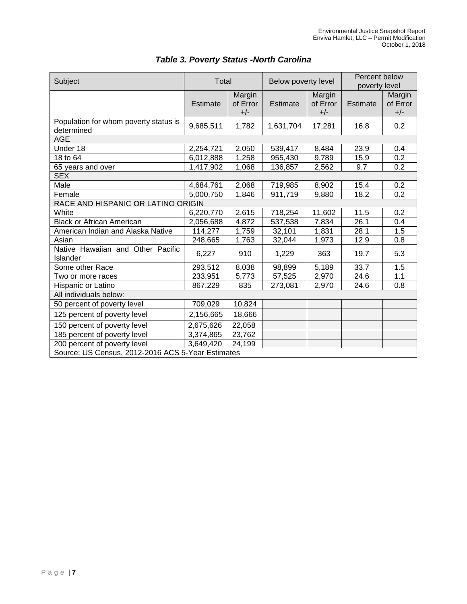| Subject                                             | Total     |                             | Below poverty level |                             | Percent below<br>poverty level |                             |  |  |  |
|-----------------------------------------------------|-----------|-----------------------------|---------------------|-----------------------------|--------------------------------|-----------------------------|--|--|--|
|                                                     | Estimate  | Margin<br>of Error<br>$+/-$ | Estimate            | Margin<br>of Error<br>$+/-$ | <b>Estimate</b>                | Margin<br>of Error<br>$+/-$ |  |  |  |
| Population for whom poverty status is<br>determined | 9,685,511 | 1,782                       | 1,631,704           | 17,281                      | 16.8                           | 0.2                         |  |  |  |
| <b>AGE</b>                                          |           |                             |                     |                             |                                |                             |  |  |  |
| Under 18                                            | 2,254,721 | 2,050                       | 539,417             | 8,484                       | 23.9                           | 0.4                         |  |  |  |
| 18 to 64                                            | 6,012,888 | 1,258                       | 955,430             | 9,789                       | 15.9                           | 0.2                         |  |  |  |
| 65 years and over                                   | 1,417,902 | 1,068                       | 136,857             | 2,562                       | 9.7                            | 0.2                         |  |  |  |
| <b>SEX</b>                                          |           |                             |                     |                             |                                |                             |  |  |  |
| Male                                                | 4,684,761 | 2,068                       | 719,985             | 8,902                       | 15.4                           | 0.2                         |  |  |  |
| Female                                              | 5,000,750 | 1,846                       | 911,719             | 9,880                       | 18.2                           | 0.2                         |  |  |  |
| RACE AND HISPANIC OR LATINO ORIGIN                  |           |                             |                     |                             |                                |                             |  |  |  |
| White                                               | 6,220,770 | 2,615                       | 718,254             | 11,602                      | 11.5                           | 0.2                         |  |  |  |
| <b>Black or African American</b>                    | 2,056,688 | 4,872                       | 537,538             | 7,834                       | 26.1                           | 0.4                         |  |  |  |
| American Indian and Alaska Native                   | 114,277   | 1,759                       | 32,101              | 1,831                       | 28.1                           | 1.5                         |  |  |  |
| Asian                                               | 248,665   | 1,763                       | 32,044              | 1,973                       | 12.9                           | 0.8                         |  |  |  |
| Native Hawaiian and Other Pacific<br>Islander       | 6,227     | 910                         | 1,229               | 363                         | 19.7                           | 5.3                         |  |  |  |
| Some other Race                                     | 293,512   | 8,038                       | 98,899              | 5,189                       | 33.7                           | 1.5                         |  |  |  |
| Two or more races                                   | 233,951   | 5,773                       | 57,525              | 2,970                       | 24.6                           | 1.1                         |  |  |  |
| Hispanic or Latino                                  | 867,229   | 835                         | 273,081             | 2,970                       | 24.6                           | 0.8                         |  |  |  |
| All individuals below:                              |           |                             |                     |                             |                                |                             |  |  |  |
| 50 percent of poverty level                         | 709,029   | 10,824                      |                     |                             |                                |                             |  |  |  |
| 125 percent of poverty level                        | 2,156,665 | 18,666                      |                     |                             |                                |                             |  |  |  |
| 150 percent of poverty level                        | 2,675,626 | 22,058                      |                     |                             |                                |                             |  |  |  |
| 185 percent of poverty level                        | 3,374,865 | 23,762                      |                     |                             |                                |                             |  |  |  |
| 200 percent of poverty level                        | 3,649,420 | 24,199                      |                     |                             |                                |                             |  |  |  |
| Source: US Census, 2012-2016 ACS 5-Year Estimates   |           |                             |                     |                             |                                |                             |  |  |  |

# *Table 3. Poverty Status -North Carolina*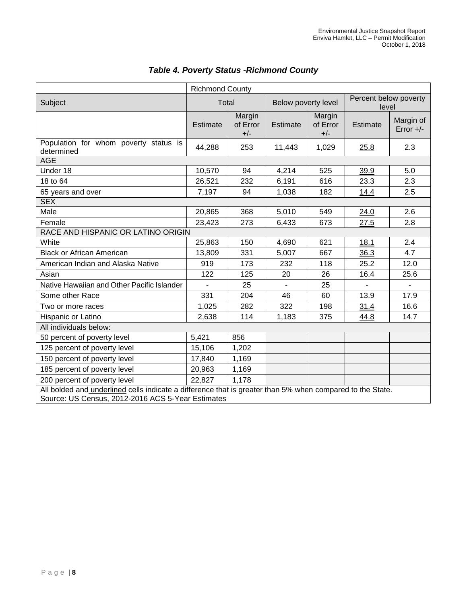|                                                                                                                                                                | <b>Richmond County</b> |                             |                     |                             |                                |                          |  |  |
|----------------------------------------------------------------------------------------------------------------------------------------------------------------|------------------------|-----------------------------|---------------------|-----------------------------|--------------------------------|--------------------------|--|--|
| Subject                                                                                                                                                        | Total                  |                             | Below poverty level |                             | Percent below poverty<br>level |                          |  |  |
|                                                                                                                                                                | Estimate               | Margin<br>of Error<br>$+/-$ | Estimate            | Margin<br>of Error<br>$+/-$ | Estimate                       | Margin of<br>Error $+/-$ |  |  |
| Population for whom poverty status is<br>determined                                                                                                            | 44,288                 | 253                         | 11,443              | 1,029                       | 25.8                           | 2.3                      |  |  |
| <b>AGE</b>                                                                                                                                                     |                        |                             |                     |                             |                                |                          |  |  |
| Under 18                                                                                                                                                       | 10,570                 | 94                          | 4,214               | 525                         | 39.9                           | 5.0                      |  |  |
| 18 to 64                                                                                                                                                       | 26,521                 | 232                         | 6,191               | 616                         | 23.3                           | 2.3                      |  |  |
| 65 years and over                                                                                                                                              | 7,197                  | 94                          | 1,038               | 182                         | 14.4                           | 2.5                      |  |  |
| <b>SEX</b>                                                                                                                                                     |                        |                             |                     |                             |                                |                          |  |  |
| Male                                                                                                                                                           | 20,865                 | 368                         | 5,010               | 549                         | 24.0                           | 2.6                      |  |  |
| Female                                                                                                                                                         | 23,423                 | 273                         | 6,433               | 673                         | 27.5                           | 2.8                      |  |  |
| RACE AND HISPANIC OR LATINO ORIGIN                                                                                                                             |                        |                             |                     |                             |                                |                          |  |  |
| White                                                                                                                                                          | 25,863                 | 150                         | 4,690               | 621                         | 18.1                           | 2.4                      |  |  |
| <b>Black or African American</b>                                                                                                                               | 13,809                 | 331                         | 5,007               | 667                         | 36.3                           | 4.7                      |  |  |
| American Indian and Alaska Native                                                                                                                              | 919                    | 173                         | 232                 | 118                         | 25.2                           | 12.0                     |  |  |
| Asian                                                                                                                                                          | 122                    | 125                         | 20                  | 26                          | 16.4                           | 25.6                     |  |  |
| Native Hawaiian and Other Pacific Islander                                                                                                                     |                        | 25                          |                     | 25                          |                                |                          |  |  |
| Some other Race                                                                                                                                                | 331                    | 204                         | 46                  | 60                          | 13.9                           | 17.9                     |  |  |
| Two or more races                                                                                                                                              | 1,025                  | 282                         | 322                 | 198                         | 31.4                           | 16.6                     |  |  |
| Hispanic or Latino                                                                                                                                             | 2,638                  | 114                         | 1,183               | 375                         | 44.8                           | 14.7                     |  |  |
| All individuals below:                                                                                                                                         |                        |                             |                     |                             |                                |                          |  |  |
| 50 percent of poverty level                                                                                                                                    | 5,421                  | 856                         |                     |                             |                                |                          |  |  |
| 125 percent of poverty level                                                                                                                                   | 15,106                 | 1,202                       |                     |                             |                                |                          |  |  |
| 150 percent of poverty level                                                                                                                                   | 17,840                 | 1,169                       |                     |                             |                                |                          |  |  |
| 185 percent of poverty level                                                                                                                                   | 20,963                 | 1,169                       |                     |                             |                                |                          |  |  |
| 200 percent of poverty level                                                                                                                                   | 22,827                 | 1,178                       |                     |                             |                                |                          |  |  |
| All bolded and underlined cells indicate a difference that is greater than 5% when compared to the State.<br>Source: US Census, 2012-2016 ACS 5-Year Estimates |                        |                             |                     |                             |                                |                          |  |  |

# *Table 4. Poverty Status -Richmond County*

ŕ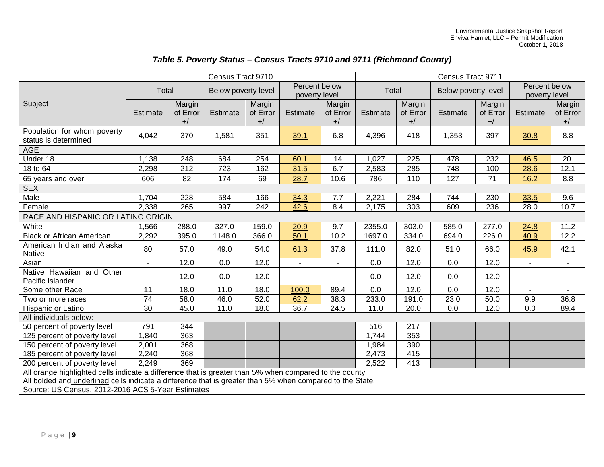## *Table 5. Poverty Status – Census Tracts 9710 and 9711 (Richmond County)*

|                                                                                                        | Census Tract 9710                                                                                         |          |                     |          |                | Census Tract 9711        |                              |          |                                |          |                |                |
|--------------------------------------------------------------------------------------------------------|-----------------------------------------------------------------------------------------------------------|----------|---------------------|----------|----------------|--------------------------|------------------------------|----------|--------------------------------|----------|----------------|----------------|
|                                                                                                        | Total                                                                                                     |          | Below poverty level |          | Percent below  |                          | Total<br>Below poverty level |          | Percent below<br>poverty level |          |                |                |
|                                                                                                        |                                                                                                           |          |                     |          | poverty level  |                          |                              |          |                                |          |                |                |
| Subject                                                                                                |                                                                                                           | Margin   |                     | Margin   |                | Margin                   |                              | Margin   |                                | Margin   |                | Margin         |
|                                                                                                        | Estimate                                                                                                  | of Error | Estimate            | of Error | Estimate       | of Error                 | Estimate                     | of Error | Estimate                       | of Error | Estimate       | of Error       |
|                                                                                                        |                                                                                                           | $+/-$    |                     | $+/-$    |                | $+/-$                    |                              | $+/-$    |                                | $+/-$    |                | $+/-$          |
| Population for whom poverty<br>status is determined                                                    | 4,042                                                                                                     | 370      | 1,581               | 351      | 39.1           | 6.8                      | 4,396                        | 418      | 1,353                          | 397      | 30.8           | 8.8            |
| <b>AGE</b>                                                                                             |                                                                                                           |          |                     |          |                |                          |                              |          |                                |          |                |                |
| Under 18                                                                                               | 1,138                                                                                                     | 248      | 684                 | 254      | 60.1           | 14                       | 1,027                        | 225      | 478                            | 232      | 46.5           | 20.            |
| 18 to 64                                                                                               | 2,298                                                                                                     | 212      | 723                 | 162      | 31.5           | 6.7                      | 2,583                        | 285      | 748                            | 100      | 28.6           | 12.1           |
| 65 years and over                                                                                      | 606                                                                                                       | 82       | 174                 | 69       | 28.7           | 10.6                     | 786                          | 110      | 127                            | 71       | 16.2           | 8.8            |
| <b>SEX</b>                                                                                             |                                                                                                           |          |                     |          |                |                          |                              |          |                                |          |                |                |
| Male                                                                                                   | 1,704                                                                                                     | 228      | 584                 | 166      | 34.3           | 7.7                      | 2,221                        | 284      | 744                            | 230      | 33.5           | 9.6            |
| Female                                                                                                 | 2,338                                                                                                     | 265      | 997                 | 242      | 42.6           | 8.4                      | 2,175                        | 303      | 609                            | 236      | 28.0           | 10.7           |
| RACE AND HISPANIC OR LATINO ORIGIN                                                                     |                                                                                                           |          |                     |          |                |                          |                              |          |                                |          |                |                |
| White                                                                                                  | 1,566                                                                                                     | 288.0    | 327.0               | 159.0    | 20.9           | 9.7                      | 2355.0                       | 303.0    | 585.0                          | 277.0    | 24.8           | 11.2           |
| <b>Black or African American</b>                                                                       | 2,292                                                                                                     | 395.0    | 1148.0              | 366.0    | 50.1           | 10.2                     | 1697.0                       | 334.0    | 694.0                          | 226.0    | 40.9           | 12.2           |
| American Indian and Alaska                                                                             | 80                                                                                                        | 57.0     | 49.0                | 54.0     | 61.3           | 37.8                     | 111.0                        | 82.0     | 51.0                           | 66.0     | 45.9           | 42.1           |
| Native                                                                                                 |                                                                                                           |          |                     |          |                |                          |                              |          |                                |          |                |                |
| Asian                                                                                                  | ω.                                                                                                        | 12.0     | 0.0                 | 12.0     | $\blacksquare$ | $\overline{\phantom{0}}$ | 0.0                          | 12.0     | 0.0                            | 12.0     | $\blacksquare$ | $\blacksquare$ |
| Native Hawaiian and Other                                                                              | $\blacksquare$                                                                                            | 12.0     | 0.0                 | 12.0     | $\sim$         | ۰.                       | 0.0                          | 12.0     | 0.0                            | 12.0     | $\sim$         | ٠              |
| Pacific Islander                                                                                       |                                                                                                           |          |                     |          |                |                          |                              |          |                                |          |                |                |
| Some other Race                                                                                        | $\overline{11}$                                                                                           | 18.0     | 11.0                | 18.0     | 100.0          | 89.4                     | 0.0                          | 12.0     | 0.0                            | 12.0     |                |                |
| Two or more races                                                                                      | $\overline{74}$                                                                                           | 58.0     | 46.0                | 52.0     | 62.2           | 38.3                     | 233.0                        | 191.0    | 23.0                           | 50.0     | 9.9            | 36.8           |
| Hispanic or Latino                                                                                     | 30                                                                                                        | 45.0     | 11.0                | 18.0     | 36.7           | 24.5                     | 11.0                         | 20.0     | 0.0                            | 12.0     | 0.0            | 89.4           |
| All individuals below:                                                                                 |                                                                                                           |          |                     |          |                |                          |                              |          |                                |          |                |                |
| 50 percent of poverty level                                                                            | 791                                                                                                       | 344      |                     |          |                |                          | 516                          | 217      |                                |          |                |                |
| 125 percent of poverty level                                                                           | 1,840                                                                                                     | 363      |                     |          |                |                          | 1,744                        | 353      |                                |          |                |                |
| 150 percent of poverty level                                                                           | 2,001                                                                                                     | 368      |                     |          |                |                          | 1,984                        | 390      |                                |          |                |                |
| 185 percent of poverty level                                                                           | 2,240                                                                                                     | 368      |                     |          |                |                          | 2,473                        | 415      |                                |          |                |                |
| 200 percent of poverty level                                                                           | 2,249                                                                                                     | 369      |                     |          |                |                          | 2,522                        | 413      |                                |          |                |                |
| All orange highlighted cells indicate a difference that is greater than 5% when compared to the county |                                                                                                           |          |                     |          |                |                          |                              |          |                                |          |                |                |
|                                                                                                        | All bolded and underlined cells indicate a difference that is greater than 5% when compared to the State. |          |                     |          |                |                          |                              |          |                                |          |                |                |

Source: US Census, 2012-2016 ACS 5-Year Estimates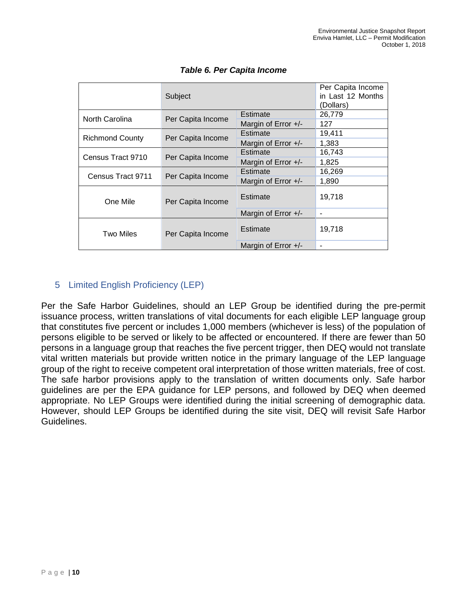|                        | Subject                       |                     | Per Capita Income<br>in Last 12 Months<br>(Dollars) |
|------------------------|-------------------------------|---------------------|-----------------------------------------------------|
| North Carolina         | Estimate<br>Per Capita Income |                     | 26,779                                              |
|                        |                               | Margin of Error +/- | 127                                                 |
| <b>Richmond County</b> | Per Capita Income             | Estimate            | 19,411                                              |
|                        |                               | Margin of Error +/- | 1,383                                               |
|                        |                               |                     | 16,743                                              |
| Census Tract 9710      | Per Capita Income             | Margin of Error +/- | 1,825                                               |
|                        |                               | Estimate            | 16,269                                              |
| Census Tract 9711      | Per Capita Income             | Margin of Error +/- | 1,890                                               |
| One Mile               | Per Capita Income             | Estimate            | 19,718                                              |
|                        |                               | Margin of Error +/- | $\blacksquare$                                      |
| Two Miles              | Per Capita Income             | Estimate            | 19,718                                              |
|                        |                               | Margin of Error +/- | $\blacksquare$                                      |

## *Table 6. Per Capita Income*

# 5 Limited English Proficiency (LEP)

Per the Safe Harbor Guidelines, should an LEP Group be identified during the pre-permit issuance process, written translations of vital documents for each eligible LEP language group that constitutes five percent or includes 1,000 members (whichever is less) of the population of persons eligible to be served or likely to be affected or encountered. If there are fewer than 50 persons in a language group that reaches the five percent trigger, then DEQ would not translate vital written materials but provide written notice in the primary language of the LEP language group of the right to receive competent oral interpretation of those written materials, free of cost. The safe harbor provisions apply to the translation of written documents only. Safe harbor guidelines are per the EPA guidance for LEP persons, and followed by DEQ when deemed appropriate. No LEP Groups were identified during the initial screening of demographic data. However, should LEP Groups be identified during the site visit, DEQ will revisit Safe Harbor Guidelines.